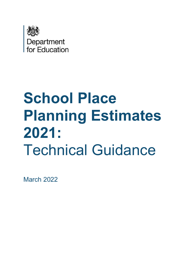

# School Place Planning Estimates 2021: Technical Guidance

March 2022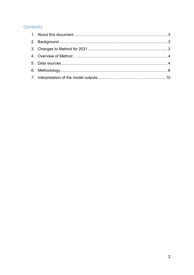# Contents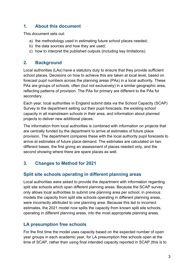# 1. About this document

This document sets out:

- a) the methodology used in estimating future school places needed;
- b) the data sources and how they are used;
- c) how to interpret the published outputs (including key limitations).

## 2. Background

Local authorities (LAs) have a statutory duty to ensure that they provide sufficient school places. Decisions on how to achieve this are taken at local level, based on forecast pupil numbers across the planning areas (PAs) in a local authority. These PAs are groups of schools, often (but not exclusively) in a similar geographic area, reflecting patterns of provision. The PAs for primary are different to the PAs for secondary.

Each year, local authorities in England submit data via the School Capacity (SCAP) Survey to the department setting out their pupil forecasts, the existing school capacity in all mainstream schools in their area, and information about planned projects to deliver new additional places.

The information from local authorities is combined with information on projects that are centrally funded by the department to arrive at estimates of future place provision. The department compares these with the local authority pupil forecasts to arrive at estimates of future place demand. The estimates are calculated on two different bases, the first giving an assessment of places needed only, and the second showing where there are spare places as well.

# 3. Changes to Method for 2021

# Split site schools operating in different planning areas

Local authorities were asked to provide the department with information regarding split site schools which span different planning areas. Because the SCAP survey only allows local authorities to submit one planning area per school, in previous models the capacity from split site schools operating in different planning areas, were incorrectly attributed to one planning area. Because this led to incorrect estimates, the 2021 model now splits the capacity from known split site schools, operating in different planning areas, into the most appropriate planning areas.

# LA presumption free schools

For the first time the model uses capacity based on the expected number of open year groups in each academic year, for LA presumption free schools open at the time of SCAP, rather than using final intended capacity reported in SCAP (this is to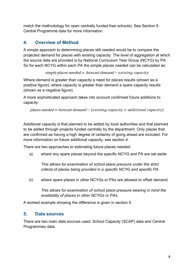match the methodology for open centrally funded free schools). See Section 5: Central Programme data for more information.

# 4. Overview of Method

A simple approach to determining places still needed would be to compare the projected demand for places with existing capacity. The level of aggregation at which the source data are provided is by National Curriculum Year Group (NCYG) by PA. So for each NCYG within each PA the simple places needed can be calculated as:

simple places needed = forecast demand  $-$  existing capacity

Where demand is greater than capacity a need for places results (shown as a positive figure); where capacity is greater than demand a spare capacity results (shown as a negative figure).

A more sophisticated approach takes into account confirmed future additions to capacity:

places needed = forecast demand – (existing capacity + additional capacity)

Additional capacity is that planned to be added by local authorities and that planned to be added through projects funded centrally by the department. Only places that are confirmed as having a high degree of certainty of going ahead are included. For more information on future additional capacity, see section 4.

There are two approaches to estimating future places needed:

a) where any spare places beyond the specific NCYG and PA are set aside

This allows for examination of school place pressure under the strict criteria of places being provided in a specific NCYG and specific PA.

b) where spare places in other NCYGs or PAs are allowed to offset demand.

This allows for examination of school place pressure bearing in mind the availability of places in other NCYGs or PAs.

A worked example showing the difference is given in section 5.

# 5. Data sources

There are two main data sources used: School Capacity (SCAP) data and Central Programmes data.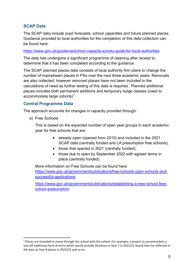## SCAP Data

The SCAP data include pupil forecasts, school capacities and future planned places. Guidance provided to local authorities for the completion of this data collection can be found here:

https://www.gov.uk/guidance/school-capacity-survey-guide-for-local-authorities

The data has undergone a significant programme of cleaning after receipt to determine that it has been completed according to the guidance.

The SCAP planned places data consists of local authority firm plans to change the number of mainstream places in PAs over the next three academic years. Removals are also collected, however removed places have not been included in the calculations of need as further testing of this data is required. Planned additional places includes both permanent additions and temporary bulge classes (used to accommodate large cohorts)<sup>1</sup>.

## Central Programme Data

The approach accounts for changes in capacity provided through:

a) Free Schools

This is based on the expected number of open year groups in each academic year for free schools that are:

- already open (opened from 2015) and included in the 2021 SCAP data (centrally funded and LA presumption free schools);
- those that opened in 2021 (centrally funded);
- those due to open by September 2022 with agreed terms in place (centrally funded).

More information on Free Schools can be found here:

https://www.gov.uk/government/publications/free-schools-open-schools-andsuccessful-applications

https://www.gov.uk/government/publications/establishing-a-new-school-freeschool-presumption

 $1$  Places are intended to move through the school with the cohort. For example, a project to accommodate a one-off additional form of entry which would provide 30 places in Year 7 in 2021/22 would then be reflected in the data as Year 8 places in 2022/23 and so on.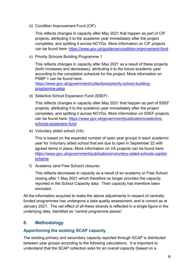b) Condition Improvement Fund (CIF)

This reflects changes in capacity after May 2021 that happen as part of CIF projects, attributing it to the academic year immediately after the project completes, and splitting it across NCYGs. More information on CIF projects can be found here: https://www.gov.uk/guidance/condition-improvement-fund

c) Priority Schools Building Programme 1

This reflects changes in capacity after May 2021 as a result of these projects (both increases and decreases), attributing it to the future academic year according to the completion schedule for the project. More information on PSBP 1 can be found here:

https://www.gov.uk/government/collections/priority-school-buildingprogramme-psbp

d) Selective School Expansion Fund (SSEF)

This reflects changes in capacity after May 2021 that happen as part of SSEF projects, attributing it to the academic year immediately after the project completes, and splitting it across NCYGs. More information on SSEF projects can be found here: https://www.gov.uk/government/publications/selectiveschools-expansion-fund

e) Voluntary aided school (VA)

This is based on the expected number of open year groups in each academic year for Voluntary aided school that are due to open in September 22 with agreed terms in place. More information on VA projects can be found here: https://www.gov.uk/government/publications/voluntary-aided-schools-capitalscheme

f) Academy (and Free School) closures

This reflects decreases in capacity as a result of an academy or Free School closing after 1 May 2021 which therefore no longer provides the capacity reported in the School Capacity data. Their capacity has therefore been excluded.

All the information acquired to make the above adjustments in respect of centrally funded programmes has undergone a data quality assessment, and is correct as at January 2021. The net effect of all these strands is reflected in a single figure in the underlying data, identified as "central programme places".

# 6. Methodology

# Apportioning the existing SCAP capacity

The existing primary and secondary capacity reported through SCAP is distributed between year groups according to the following calculations. It is important to understand that the SCAP collection asks for an overall capacity (based on a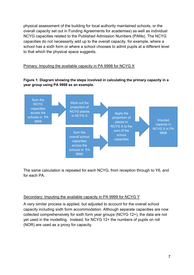physical assessment of the building for local authority maintained schools, or the overall capacity set out in Funding Agreements for academies) as well as individual NCYG capacities related to the Published Admission Numbers (PANs). The NCYG capacities do not necessarily add up to the overall capacity, for example, where a school has a sixth form or where a school chooses to admit pupils at a different level to that which the physical space suggests.

## Primary: Imputing the available capacity in PA 9998 for NCYG X

### Figure 1: Diagram showing the steps involved in calculating the primary capacity in a year group using PA 9998 as an example.



The same calculation is repeated for each NCYG, from reception through to Y6, and for each PA.

#### Secondary: Imputing the available capacity in PA 9999 for NCYG Y

A very similar process is applied, but adjusted to account for the overall school capacity including sixth form accommodation. Although separate capacities are now collected comprehensively for sixth form year groups (NCYG 12+), the data are not yet used in the modelling. Instead, for NCYG 12+ the numbers of pupils on roll (NOR) are used as a proxy for capacity.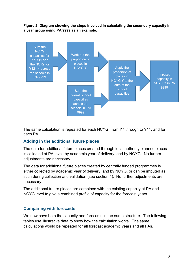Figure 2: Diagram showing the steps involved in calculating the secondary capacity in a year group using PA 9999 as an example.



The same calculation is repeated for each NCYG, from Y7 through to Y11, and for each PA.

## Adding in the additional future places

The data for additional future places created through local authority planned places is collected at PA level, by academic year of delivery, and by NCYG. No further adjustments are necessary.

The data for additional future places created by centrally funded programmes is either collected by academic year of delivery, and by NCYG, or can be imputed as such during collection and validation (see section 4). No further adjustments are necessary.

The additional future places are combined with the existing capacity at PA and NCYG level to give a combined profile of capacity for the forecast years.

## Comparing with forecasts

We now have both the capacity and forecasts in the same structure. The following tables use illustrative data to show how the calculation works. The same calculations would be repeated for all forecast academic years and all PAs.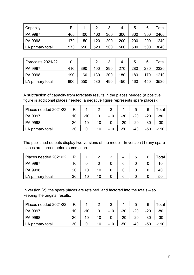| Capacity         |     |     | ႒   | າ   |     | 5   |     | $\tau$ otal |
|------------------|-----|-----|-----|-----|-----|-----|-----|-------------|
| PA 9997          | 400 | 400 | 400 | 300 | 300 | 300 | 300 | 2400        |
| PA 9998          | 170 | 150 | 120 | 200 | 200 | 200 | 200 | 1240        |
| LA primary total | 570 | 550 | 520 | 500 | 500 | 500 | 500 | 3640        |

| Forecasts 2021/22 |     |     |     | ິ   |     |     |     | otal |
|-------------------|-----|-----|-----|-----|-----|-----|-----|------|
| <b>PA 9997</b>    | 410 | 390 | 400 | 290 | 270 | 280 | 280 | 2320 |
| PA 9998           | 190 | 160 | 130 | 200 | 180 | 180 | 170 | 1210 |
| LA primary total  | 600 | 550 | 530 | 490 | 450 | 460 | 450 | 3530 |

A subtraction of capacity from forecasts results in the places needed (a positive figure is additional places needed; a negative figure represents spare places):

| Places needed 2021/22 | R  |    | ິ<br>$\overline{\phantom{a}}$ |       |       |       | <sup>-</sup> otal |
|-----------------------|----|----|-------------------------------|-------|-------|-------|-------------------|
| PA 9997               | 10 |    | $-10$                         | $-30$ | $-20$ | $-20$ | -80               |
| PA 9998               | 20 | 10 |                               | $-20$ | $-20$ | $-30$ | $-30$             |
| LA primary total      | 30 | 10 | $-10$                         | $-50$ | $-40$ | -50   |                   |

The published outputs display two versions of the model. In version (1) any spare places are zeroed before summation.

| Places needed 2021/22 | R  |    |    | ⌒<br>w |  | $\tau$ otal |
|-----------------------|----|----|----|--------|--|-------------|
| PA 9997               | 10 |    |    |        |  | 10.         |
| PA 9998               | 20 | 10 | 10 |        |  | 4U          |
| LA primary total      | 30 |    | 10 |        |  | ЬC          |

In version (2), the spare places are retained, and factored into the totals  $-$  so keeping the original results.

| Places needed 2021/22 |    |           |    |       |       | ∽     |       | <sup>-</sup> otal |
|-----------------------|----|-----------|----|-------|-------|-------|-------|-------------------|
| PA 9997               |    | $-10^{-}$ |    | $-10$ | $-30$ | $-20$ | $-20$ | -80               |
| PA 9998               |    |           | 10 |       | $-20$ | $-20$ | $-30$ | -30               |
| LA primary total      | 30 |           | 10 | $-10$ | $-50$ | $-40$ | -50   | 10                |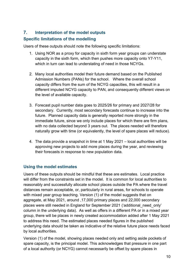# 7. Interpretation of the model outputs

# Specific limitations of the modelling

Users of these outputs should note the following specific limitations:

- 1. Using NOR as a proxy for capacity in sixth form year groups can understate capacity in the sixth form, which then pushes more capacity onto Y7-Y11, which in turn can lead to understating of need in those NCYGs.
- 2. Many local authorities model their future demand based on the Published Admission Numbers (PANs) for the school. Where the overall school capacity differs from the sum of the NCYG capacities, this will result in a different imputed NCYG capacity to PAN, and consequently different views on the level of available capacity.
- 3. Forecast pupil number data goes to 2025/26 for primary and 2027/28 for secondary. Currently, most secondary forecasts continue to increase into the future. Planned capacity data is generally reported more strongly in the immediate future, since we only include places for which there are firm plans, with no data collected beyond 3 years out. The places needed will therefore naturally grow with time (or equivalently, the level of spare places will reduce).
- 4. The data provide a snapshot in time at 1 May 2021 local authorities will be approving new projects to add more places during the year, and reviewing their forecasts in response to new population data.

## Using the model estimates

Users of these outputs should be mindful that these are estimates. Local practice will differ from the constraints set in the model. It is common for local authorities to reasonably and successfully allocate school places outside the PA where the travel distances remain acceptable, or, particularly in rural areas, for schools to operate with mixed year group teaching. Version (1) of the model suggests that on aggregate, at May 2021, around ,17,000 primary places and 22,000 secondary places were still needed in England for September 2021 ('additional\_need\_only' column in the underlying data). As well as offers in a different PA or in a mixed year group, there will be places in newly created accommodation added after 1 May 2021 to address this need. The estimated places needed figures in the published underlying data should be taken as indicative of the relative future place needs faced by local authorities.

Version (1) of the model, showing places needed only and setting aside pockets of spare capacity, is the principal model. This acknowledges that pressure in one part of a local authority (or NCYG) cannot necessarily be offset by spare places in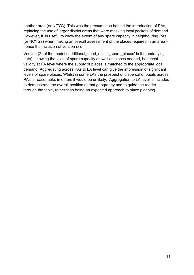another area (or NCYG). This was the presumption behind the introduction of PAs, replacing the use of larger district areas that were masking local pockets of demand. However, it is useful to know the extent of any spare capacity in neighbouring PAs (or NCYGs) when making an overall assessment of the places required in an area – hence the inclusion of version (2).

Version (2) of the model ('additional need minus spare places' in the underlying data), showing the level of spare capacity as well as places needed, has most validity at PA level where the supply of places is matched to the appropriate local demand. Aggregating across PAs to LA level can give the impression of significant levels of spare places. Whilst in some LAs the prospect of dispersal of pupils across PAs is reasonable, in others it would be unlikely. Aggregation to LA level is included to demonstrate the overall position at that geography and to guide the reader through the table, rather than being an expected approach to place planning.